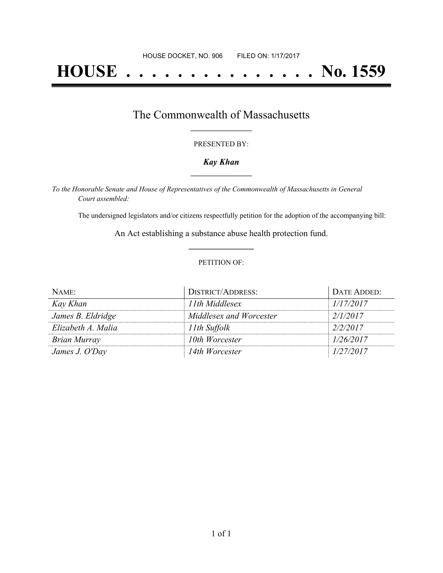# **HOUSE . . . . . . . . . . . . . . . No. 1559**

## The Commonwealth of Massachusetts **\_\_\_\_\_\_\_\_\_\_\_\_\_\_\_\_\_**

#### PRESENTED BY:

#### *Kay Khan* **\_\_\_\_\_\_\_\_\_\_\_\_\_\_\_\_\_**

*To the Honorable Senate and House of Representatives of the Commonwealth of Massachusetts in General Court assembled:*

The undersigned legislators and/or citizens respectfully petition for the adoption of the accompanying bill:

An Act establishing a substance abuse health protection fund. **\_\_\_\_\_\_\_\_\_\_\_\_\_\_\_**

#### PETITION OF:

| NAME:              | <b>DISTRICT/ADDRESS:</b> | DATE ADDED: |
|--------------------|--------------------------|-------------|
| Kay Khan           | 11th Middlesex           | 1/17/2017   |
| James B. Eldridge  | Middlesex and Worcester  | 2/1/2017    |
| Elizabeth A. Malia | 11th Suffolk             | 2/2/2017    |
| Brian Murray       | 10th Worcester           | 1/26/2017   |
| James J. O'Day     | 14th Worcester           | 1/27/2017   |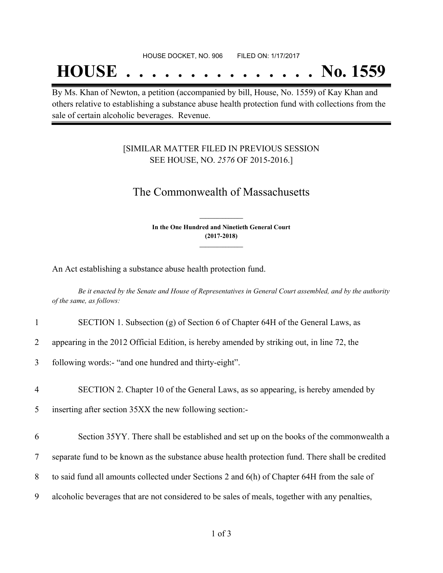## **HOUSE . . . . . . . . . . . . . . . No. 1559**

By Ms. Khan of Newton, a petition (accompanied by bill, House, No. 1559) of Kay Khan and others relative to establishing a substance abuse health protection fund with collections from the sale of certain alcoholic beverages. Revenue.

### [SIMILAR MATTER FILED IN PREVIOUS SESSION SEE HOUSE, NO. *2576* OF 2015-2016.]

## The Commonwealth of Massachusetts

**In the One Hundred and Ninetieth General Court (2017-2018) \_\_\_\_\_\_\_\_\_\_\_\_\_\_\_**

**\_\_\_\_\_\_\_\_\_\_\_\_\_\_\_**

An Act establishing a substance abuse health protection fund.

Be it enacted by the Senate and House of Representatives in General Court assembled, and by the authority *of the same, as follows:*

|                | SECTION 1. Subsection (g) of Section 6 of Chapter 64H of the General Laws, as                    |
|----------------|--------------------------------------------------------------------------------------------------|
| $\overline{2}$ | appearing in the 2012 Official Edition, is hereby amended by striking out, in line 72, the       |
| 3              | following words:- "and one hundred and thirty-eight".                                            |
| 4              | SECTION 2. Chapter 10 of the General Laws, as so appearing, is hereby amended by                 |
| 5              | inserting after section 35XX the new following section:-                                         |
| 6              | Section 35YY. There shall be established and set up on the books of the commonwealth a           |
| $\tau$         | separate fund to be known as the substance abuse health protection fund. There shall be credited |
| 8              | to said fund all amounts collected under Sections 2 and 6(h) of Chapter 64H from the sale of     |
| 9              | alcoholic beverages that are not considered to be sales of meals, together with any penalties,   |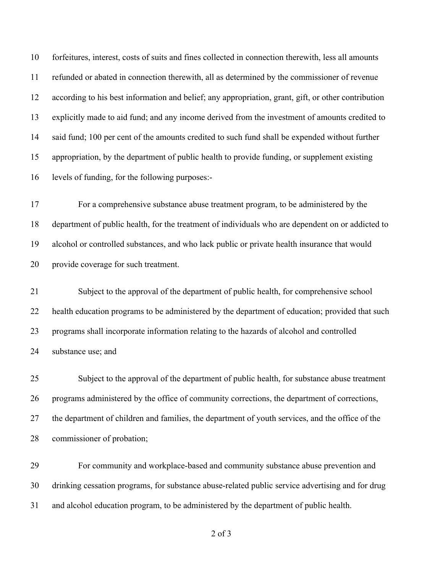forfeitures, interest, costs of suits and fines collected in connection therewith, less all amounts refunded or abated in connection therewith, all as determined by the commissioner of revenue according to his best information and belief; any appropriation, grant, gift, or other contribution explicitly made to aid fund; and any income derived from the investment of amounts credited to said fund; 100 per cent of the amounts credited to such fund shall be expended without further appropriation, by the department of public health to provide funding, or supplement existing levels of funding, for the following purposes:-

 For a comprehensive substance abuse treatment program, to be administered by the department of public health, for the treatment of individuals who are dependent on or addicted to alcohol or controlled substances, and who lack public or private health insurance that would provide coverage for such treatment.

 Subject to the approval of the department of public health, for comprehensive school health education programs to be administered by the department of education; provided that such programs shall incorporate information relating to the hazards of alcohol and controlled substance use; and

 Subject to the approval of the department of public health, for substance abuse treatment programs administered by the office of community corrections, the department of corrections, the department of children and families, the department of youth services, and the office of the commissioner of probation;

 For community and workplace-based and community substance abuse prevention and drinking cessation programs, for substance abuse-related public service advertising and for drug and alcohol education program, to be administered by the department of public health.

of 3